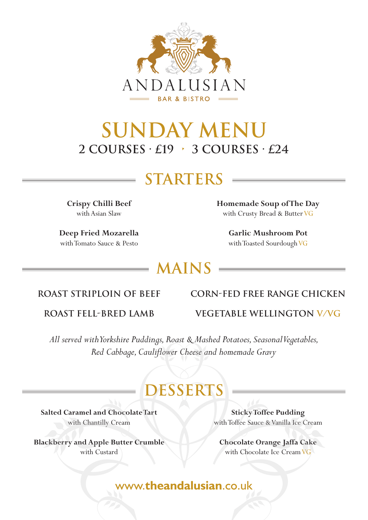

## **SUNDAY MENU 2 courses · £19 • 3 courses · £24**

### **STARTERS**

**Crispy Chilli Beef**  with Asian Slaw

**Deep Fried Mozarella**  with Tomato Sauce & Pesto

**Homemade Soup of The Day** with Crusty Bread & Butter VG

> **Garlic Mushroom Pot** with Toasted Sourdough VG

### **MAINS**

#### **Roast Striploin of Beef**

#### **CORN-FED FREE RANGE CHICKEN**

**Roast Fell-Bred Lamb**

**Vegetable Wellington V/VG**

*All served with Yorkshire Puddings, Roast & Mashed Potatoes, Seasonal Vegetables, Red Cabbage, Cauliflower Cheese and homemade Gravy*

### **DESSERTS**

**Salted Caramel and Chocolate Tart**  with Chantilly Cream

**Blackberry and Apple Butter Crumble**  with Custard

**Sticky Toffee Pudding** with Toffee Sauce & Vanilla Ice Cream

**Chocolate Orange Jaffa Cake**  with Chocolate Ice Cream VG

www.**theandalusian**.co.uk